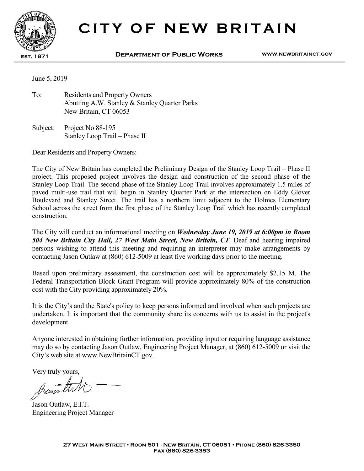

## **CITY OF NEW BRITAIN**

**est. 1871 Department of Public Works www.newbritainct.gov** 

June 5, 2019

To: Residents and Property Owners Abutting A.W. Stanley & Stanley Quarter Parks New Britain, CT 06053

Subject: Project No 88-195 Stanley Loop Trail – Phase II

Dear Residents and Property Owners:

The City of New Britain has completed the Preliminary Design of the Stanley Loop Trail – Phase II project. This proposed project involves the design and construction of the second phase of the Stanley Loop Trail. The second phase of the Stanley Loop Trail involves approximately 1.5 miles of paved multi-use trail that will begin in Stanley Quarter Park at the intersection on Eddy Glover Boulevard and Stanley Street. The trail has a northern limit adjacent to the Holmes Elementary School across the street from the first phase of the Stanley Loop Trail which has recently completed construction.

The City will conduct an informational meeting on *Wednesday June 19, 2019 at 6:00pm in Room 504 New Britain City Hall, 27 West Main Street, New Britain, CT*. Deaf and hearing impaired persons wishing to attend this meeting and requiring an interpreter may make arrangements by contacting Jason Outlaw at (860) 612-5009 at least five working days prior to the meeting.

Based upon preliminary assessment, the construction cost will be approximately \$2.15 M. The Federal Transportation Block Grant Program will provide approximately 80% of the construction cost with the City providing approximately 20%.

It is the City's and the State's policy to keep persons informed and involved when such projects are undertaken. It is important that the community share its concerns with us to assist in the project's development.

Anyone interested in obtaining further information, providing input or requiring language assistance may do so by contacting Jason Outlaw, Engineering Project Manager, at (860) 612-5009 or visit the City's web site at www.NewBritainCT.gov.

Very truly yours,

posente

Jason Outlaw, E.I.T. Engineering Project Manager